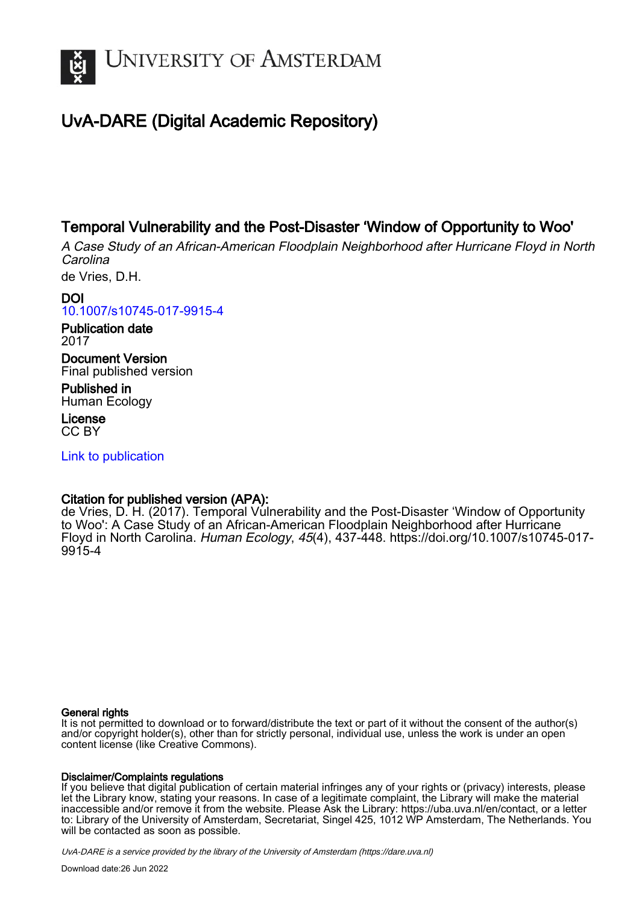

# UvA-DARE (Digital Academic Repository)

## Temporal Vulnerability and the Post-Disaster 'Window of Opportunity to Woo'

A Case Study of an African-American Floodplain Neighborhood after Hurricane Floyd in North Carolina

de Vries, D.H.

DOI [10.1007/s10745-017-9915-4](https://doi.org/10.1007/s10745-017-9915-4)

Publication date 2017

Document Version Final published version

Published in Human Ecology

License CC BY

[Link to publication](https://dare.uva.nl/personal/pure/en/publications/temporal-vulnerability-and-the-postdisaster-window-of-opportunity-to-woo(542978ef-c999-446e-a7ae-df260bddd639).html)

## Citation for published version (APA):

de Vries, D. H. (2017). Temporal Vulnerability and the Post-Disaster 'Window of Opportunity to Woo': A Case Study of an African-American Floodplain Neighborhood after Hurricane Floyd in North Carolina. Human Ecology, 45(4), 437-448. [https://doi.org/10.1007/s10745-017-](https://doi.org/10.1007/s10745-017-9915-4) [9915-4](https://doi.org/10.1007/s10745-017-9915-4)

## General rights

It is not permitted to download or to forward/distribute the text or part of it without the consent of the author(s) and/or copyright holder(s), other than for strictly personal, individual use, unless the work is under an open content license (like Creative Commons).

## Disclaimer/Complaints regulations

If you believe that digital publication of certain material infringes any of your rights or (privacy) interests, please let the Library know, stating your reasons. In case of a legitimate complaint, the Library will make the material inaccessible and/or remove it from the website. Please Ask the Library: https://uba.uva.nl/en/contact, or a letter to: Library of the University of Amsterdam, Secretariat, Singel 425, 1012 WP Amsterdam, The Netherlands. You will be contacted as soon as possible.

UvA-DARE is a service provided by the library of the University of Amsterdam (http*s*://dare.uva.nl)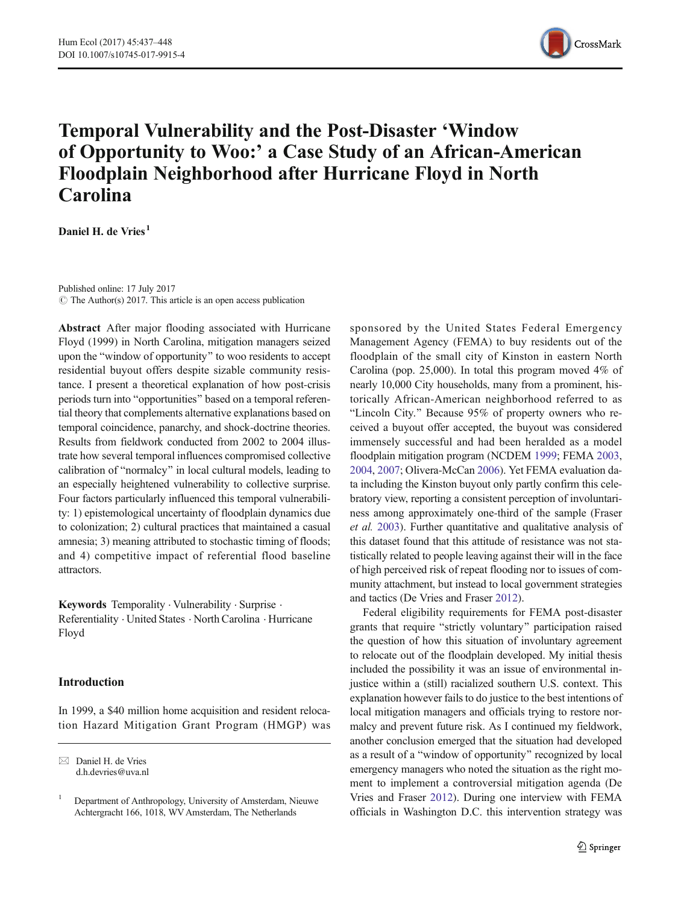

## Temporal Vulnerability and the Post-Disaster 'Window of Opportunity to Woo:' a Case Study of an African-American Floodplain Neighborhood after Hurricane Floyd in North Carolina

Daniel H. de Vries<sup>1</sup>

Published online: 17 July 2017  $\circ$  The Author(s) 2017. This article is an open access publication

Abstract After major flooding associated with Hurricane Floyd (1999) in North Carolina, mitigation managers seized upon the "window of opportunity" to woo residents to accept residential buyout offers despite sizable community resistance. I present a theoretical explanation of how post-crisis periods turn into "opportunities" based on a temporal referential theory that complements alternative explanations based on temporal coincidence, panarchy, and shock-doctrine theories. Results from fieldwork conducted from 2002 to 2004 illustrate how several temporal influences compromised collective calibration of "normalcy" in local cultural models, leading to an especially heightened vulnerability to collective surprise. Four factors particularly influenced this temporal vulnerability: 1) epistemological uncertainty of floodplain dynamics due to colonization; 2) cultural practices that maintained a casual amnesia; 3) meaning attributed to stochastic timing of floods; and 4) competitive impact of referential flood baseline attractors.

Keywords Temporality . Vulnerability . Surprise . Referentiality . United States . North Carolina . Hurricane Floyd

## Introduction

In 1999, a \$40 million home acquisition and resident relocation Hazard Mitigation Grant Program (HMGP) was sponsored by the United States Federal Emergency Management Agency (FEMA) to buy residents out of the floodplain of the small city of Kinston in eastern North Carolina (pop. 25,000). In total this program moved 4% of nearly 10,000 City households, many from a prominent, historically African-American neighborhood referred to as "Lincoln City." Because 95% of property owners who received a buyout offer accepted, the buyout was considered immensely successful and had been heralded as a model floodplain mitigation program (NCDEM [1999](#page-12-0); FEMA [2003,](#page-11-0) [2004,](#page-11-0) [2007;](#page-11-0) Olivera-McCan [2006](#page-12-0)). Yet FEMA evaluation data including the Kinston buyout only partly confirm this celebratory view, reporting a consistent perception of involuntariness among approximately one-third of the sample (Fraser et al. [2003\)](#page-11-0). Further quantitative and qualitative analysis of this dataset found that this attitude of resistance was not statistically related to people leaving against their will in the face of high perceived risk of repeat flooding nor to issues of community attachment, but instead to local government strategies and tactics (De Vries and Fraser [2012](#page-11-0)).

Federal eligibility requirements for FEMA post-disaster grants that require "strictly voluntary" participation raised the question of how this situation of involuntary agreement to relocate out of the floodplain developed. My initial thesis included the possibility it was an issue of environmental injustice within a (still) racialized southern U.S. context. This explanation however fails to do justice to the best intentions of local mitigation managers and officials trying to restore normalcy and prevent future risk. As I continued my fieldwork, another conclusion emerged that the situation had developed as a result of a "window of opportunity" recognized by local emergency managers who noted the situation as the right moment to implement a controversial mitigation agenda (De Vries and Fraser [2012](#page-11-0)). During one interview with FEMA officials in Washington D.C. this intervention strategy was

 $\boxtimes$  Daniel H. de Vries d.h.devries@uva.nl

<sup>&</sup>lt;sup>1</sup> Department of Anthropology, University of Amsterdam, Nieuwe Achtergracht 166, 1018, WV Amsterdam, The Netherlands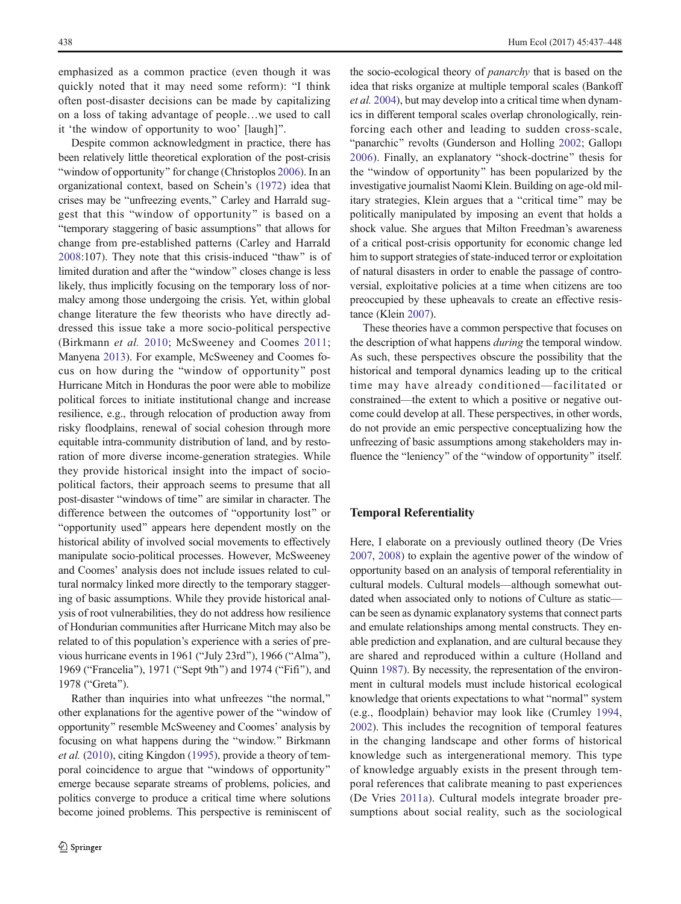emphasized as a common practice (even though it was quickly noted that it may need some reform): "I think often post-disaster decisions can be made by capitalizing on a loss of taking advantage of people…we used to call it 'the window of opportunity to woo' [laugh]^.

Despite common acknowledgment in practice, there has been relatively little theoretical exploration of the post-crisis "window of opportunity" for change (Christoplos [2006](#page-11-0)). In an organizational context, based on Schein's [\(1972](#page-12-0)) idea that crises may be "unfreezing events," Carley and Harrald suggest that this "window of opportunity" is based on a "temporary staggering of basic assumptions" that allows for change from pre-established patterns (Carley and Harrald  $2008:107$  $2008:107$ ). They note that this crisis-induced "thaw" is of limited duration and after the "window" closes change is less likely, thus implicitly focusing on the temporary loss of normalcy among those undergoing the crisis. Yet, within global change literature the few theorists who have directly addressed this issue take a more socio-political perspective (Birkmann et al. [2010](#page-11-0); McSweeney and Coomes [2011](#page-12-0); Manyena [2013](#page-12-0)). For example, McSweeney and Coomes focus on how during the "window of opportunity" post Hurricane Mitch in Honduras the poor were able to mobilize political forces to initiate institutional change and increase resilience, e.g., through relocation of production away from risky floodplains, renewal of social cohesion through more equitable intra-community distribution of land, and by restoration of more diverse income-generation strategies. While they provide historical insight into the impact of sociopolitical factors, their approach seems to presume that all post-disaster "windows of time" are similar in character. The difference between the outcomes of "opportunity lost" or "opportunity used" appears here dependent mostly on the historical ability of involved social movements to effectively manipulate socio-political processes. However, McSweeney and Coomes' analysis does not include issues related to cultural normalcy linked more directly to the temporary staggering of basic assumptions. While they provide historical analysis of root vulnerabilities, they do not address how resilience of Hondurian communities after Hurricane Mitch may also be related to of this population's experience with a series of previous hurricane events in  $1961$  ("July 23rd"),  $1966$  ("Alma"), 1969 ("Francelia"), 1971 ("Sept 9th") and 1974 ("Fifi"), and 1978 ("Greta").

Rather than inquiries into what unfreezes "the normal," other explanations for the agentive power of the "window of opportunity" resemble McSweeney and Coomes' analysis by focusing on what happens during the "window." Birkmann et al. ([2010](#page-11-0)), citing Kingdon [\(1995](#page-11-0)), provide a theory of temporal coincidence to argue that "windows of opportunity" emerge because separate streams of problems, policies, and politics converge to produce a critical time where solutions become joined problems. This perspective is reminiscent of

the socio-ecological theory of panarchy that is based on the idea that risks organize at multiple temporal scales (Bankoff et al. [2004\)](#page-10-0), but may develop into a critical time when dynamics in different temporal scales overlap chronologically, reinforcing each other and leading to sudden cross-scale, "panarchic" revolts (Gunderson and Holling [2002;](#page-11-0) Gallopi [2006](#page-11-0)). Finally, an explanatory "shock-doctrine" thesis for the "window of opportunity" has been popularized by the investigative journalist Naomi Klein. Building on age-old military strategies, Klein argues that a "critical time" may be politically manipulated by imposing an event that holds a shock value. She argues that Milton Freedman's awareness of a critical post-crisis opportunity for economic change led him to support strategies of state-induced terror or exploitation of natural disasters in order to enable the passage of controversial, exploitative policies at a time when citizens are too preoccupied by these upheavals to create an effective resistance (Klein [2007\)](#page-12-0).

These theories have a common perspective that focuses on the description of what happens *during* the temporal window. As such, these perspectives obscure the possibility that the historical and temporal dynamics leading up to the critical time may have already conditioned—facilitated or constrained—the extent to which a positive or negative outcome could develop at all. These perspectives, in other words, do not provide an emic perspective conceptualizing how the unfreezing of basic assumptions among stakeholders may influence the "leniency" of the "window of opportunity" itself.

### Temporal Referentiality

Here, I elaborate on a previously outlined theory (De Vries [2007,](#page-11-0) [2008\)](#page-11-0) to explain the agentive power of the window of opportunity based on an analysis of temporal referentiality in cultural models. Cultural models—although somewhat outdated when associated only to notions of Culture as static can be seen as dynamic explanatory systems that connect parts and emulate relationships among mental constructs. They enable prediction and explanation, and are cultural because they are shared and reproduced within a culture (Holland and Quinn [1987\)](#page-11-0). By necessity, the representation of the environment in cultural models must include historical ecological knowledge that orients expectations to what "normal" system (e.g., floodplain) behavior may look like (Crumley [1994,](#page-11-0) [2002\)](#page-11-0). This includes the recognition of temporal features in the changing landscape and other forms of historical knowledge such as intergenerational memory. This type of knowledge arguably exists in the present through temporal references that calibrate meaning to past experiences (De Vries [2011a\)](#page-11-0). Cultural models integrate broader presumptions about social reality, such as the sociological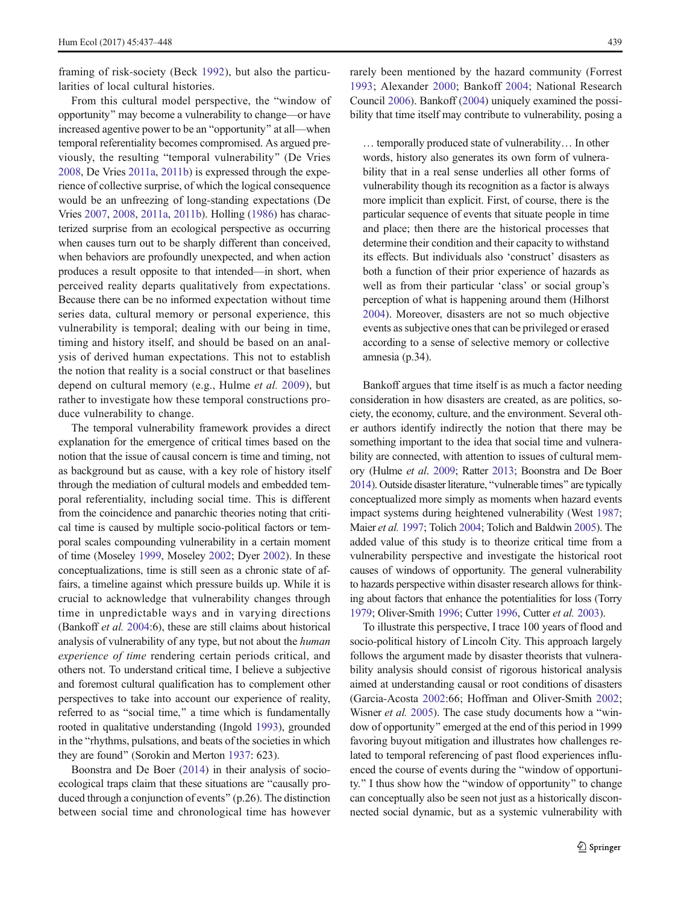framing of risk-society (Beck [1992\)](#page-11-0), but also the particularities of local cultural histories.

From this cultural model perspective, the "window of opportunity^ may become a vulnerability to change—or have increased agentive power to be an "opportunity" at all—when temporal referentiality becomes compromised. As argued previously, the resulting "temporal vulnerability" (De Vries [2008,](#page-11-0) De Vries [2011a,](#page-11-0) [2011b](#page-11-0)) is expressed through the experience of collective surprise, of which the logical consequence would be an unfreezing of long-standing expectations (De Vries [2007,](#page-11-0) [2008](#page-11-0), [2011a,](#page-11-0) [2011b](#page-11-0)). Holling ([1986](#page-11-0)) has characterized surprise from an ecological perspective as occurring when causes turn out to be sharply different than conceived, when behaviors are profoundly unexpected, and when action produces a result opposite to that intended—in short, when perceived reality departs qualitatively from expectations. Because there can be no informed expectation without time series data, cultural memory or personal experience, this vulnerability is temporal; dealing with our being in time, timing and history itself, and should be based on an analysis of derived human expectations. This not to establish the notion that reality is a social construct or that baselines depend on cultural memory (e.g., Hulme et al. [2009](#page-11-0)), but rather to investigate how these temporal constructions produce vulnerability to change.

The temporal vulnerability framework provides a direct explanation for the emergence of critical times based on the notion that the issue of causal concern is time and timing, not as background but as cause, with a key role of history itself through the mediation of cultural models and embedded temporal referentiality, including social time. This is different from the coincidence and panarchic theories noting that critical time is caused by multiple socio-political factors or temporal scales compounding vulnerability in a certain moment of time (Moseley [1999](#page-12-0), Moseley [2002](#page-12-0); Dyer [2002\)](#page-11-0). In these conceptualizations, time is still seen as a chronic state of affairs, a timeline against which pressure builds up. While it is crucial to acknowledge that vulnerability changes through time in unpredictable ways and in varying directions (Bankoff et al. [2004:](#page-10-0)6), these are still claims about historical analysis of vulnerability of any type, but not about the human experience of time rendering certain periods critical, and others not. To understand critical time, I believe a subjective and foremost cultural qualification has to complement other perspectives to take into account our experience of reality, referred to as "social time," a time which is fundamentally rooted in qualitative understanding (Ingold [1993](#page-11-0)), grounded in the "rhythms, pulsations, and beats of the societies in which they are found" (Sorokin and Merton [1937](#page-12-0): 623).

Boonstra and De Boer ([2014](#page-11-0)) in their analysis of socioecological traps claim that these situations are "causally produced through a conjunction of events" (p.26). The distinction between social time and chronological time has however rarely been mentioned by the hazard community (Forrest [1993](#page-11-0); Alexander [2000;](#page-10-0) Bankoff [2004;](#page-10-0) National Research Council [2006](#page-12-0)). Bankoff ([2004](#page-10-0)) uniquely examined the possibility that time itself may contribute to vulnerability, posing a

… temporally produced state of vulnerability… In other words, history also generates its own form of vulnerability that in a real sense underlies all other forms of vulnerability though its recognition as a factor is always more implicit than explicit. First, of course, there is the particular sequence of events that situate people in time and place; then there are the historical processes that determine their condition and their capacity to withstand its effects. But individuals also 'construct' disasters as both a function of their prior experience of hazards as well as from their particular 'class' or social group's perception of what is happening around them (Hilhorst [2004](#page-11-0)). Moreover, disasters are not so much objective events as subjective ones that can be privileged or erased according to a sense of selective memory or collective amnesia (p.34).

Bankoff argues that time itself is as much a factor needing consideration in how disasters are created, as are politics, society, the economy, culture, and the environment. Several other authors identify indirectly the notion that there may be something important to the idea that social time and vulnerability are connected, with attention to issues of cultural memory (Hulme et al. [2009](#page-11-0); Ratter [2013;](#page-12-0) Boonstra and De Boer [2014\)](#page-11-0). Outside disaster literature, "vulnerable times" are typically conceptualized more simply as moments when hazard events impact systems during heightened vulnerability (West [1987;](#page-12-0) Maier et al. [1997;](#page-12-0) Tolich [2004;](#page-12-0) Tolich and Baldwin [2005\)](#page-12-0). The added value of this study is to theorize critical time from a vulnerability perspective and investigate the historical root causes of windows of opportunity. The general vulnerability to hazards perspective within disaster research allows for thinking about factors that enhance the potentialities for loss (Torry [1979](#page-12-0); Oliver-Smith [1996](#page-12-0); Cutter [1996,](#page-11-0) Cutter et al. [2003](#page-11-0)).

To illustrate this perspective, I trace 100 years of flood and socio-political history of Lincoln City. This approach largely follows the argument made by disaster theorists that vulnerability analysis should consist of rigorous historical analysis aimed at understanding causal or root conditions of disasters (Garcia-Acosta [2002:](#page-11-0)66; Hoffman and Oliver-Smith [2002;](#page-11-0) Wisner *et al.* [2005\)](#page-12-0). The case study documents how a "window of opportunity" emerged at the end of this period in 1999 favoring buyout mitigation and illustrates how challenges related to temporal referencing of past flood experiences influenced the course of events during the "window of opportunity." I thus show how the "window of opportunity" to change can conceptually also be seen not just as a historically disconnected social dynamic, but as a systemic vulnerability with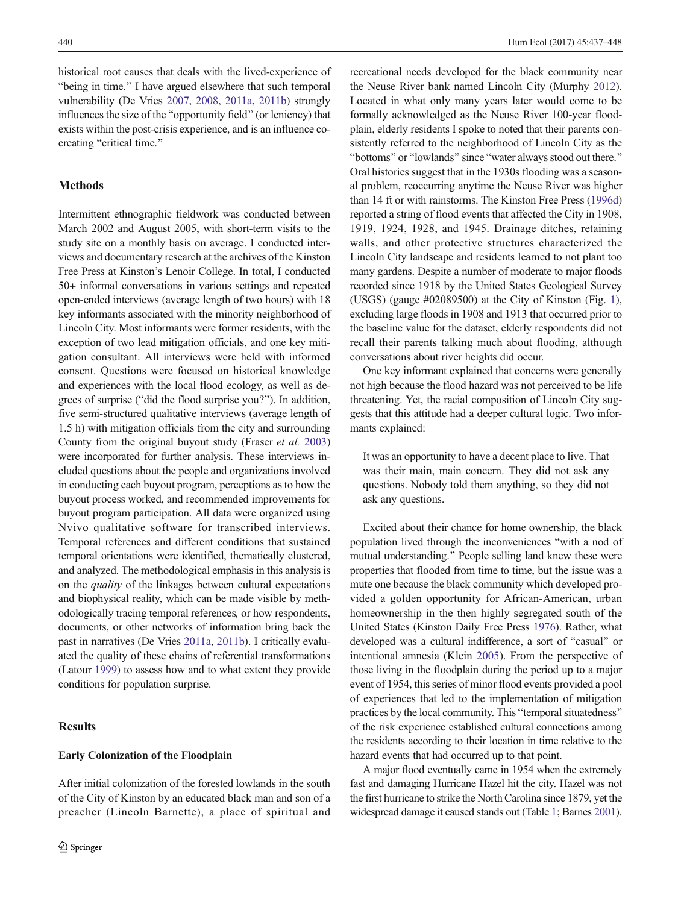historical root causes that deals with the lived-experience of "being in time." I have argued elsewhere that such temporal vulnerability (De Vries [2007](#page-11-0), [2008,](#page-11-0) [2011a](#page-11-0), [2011b\)](#page-11-0) strongly influences the size of the "opportunity field" (or leniency) that exists within the post-crisis experience, and is an influence cocreating "critical time."

### **Methods**

Intermittent ethnographic fieldwork was conducted between March 2002 and August 2005, with short-term visits to the study site on a monthly basis on average. I conducted interviews and documentary research at the archives of the Kinston Free Press at Kinston's Lenoir College. In total, I conducted 50+ informal conversations in various settings and repeated open-ended interviews (average length of two hours) with 18 key informants associated with the minority neighborhood of Lincoln City. Most informants were former residents, with the exception of two lead mitigation officials, and one key mitigation consultant. All interviews were held with informed consent. Questions were focused on historical knowledge and experiences with the local flood ecology, as well as degrees of surprise ("did the flood surprise you?"). In addition, five semi-structured qualitative interviews (average length of 1.5 h) with mitigation officials from the city and surrounding County from the original buyout study (Fraser et al. [2003\)](#page-11-0) were incorporated for further analysis. These interviews included questions about the people and organizations involved in conducting each buyout program, perceptions as to how the buyout process worked, and recommended improvements for buyout program participation. All data were organized using Nvivo qualitative software for transcribed interviews. Temporal references and different conditions that sustained temporal orientations were identified, thematically clustered, and analyzed. The methodological emphasis in this analysis is on the quality of the linkages between cultural expectations and biophysical reality, which can be made visible by methodologically tracing temporal references, or how respondents, documents, or other networks of information bring back the past in narratives (De Vries [2011a](#page-11-0), [2011b\)](#page-11-0). I critically evaluated the quality of these chains of referential transformations (Latour [1999](#page-12-0)) to assess how and to what extent they provide conditions for population surprise.

## **Results**

#### Early Colonization of the Floodplain

After initial colonization of the forested lowlands in the south of the City of Kinston by an educated black man and son of a preacher (Lincoln Barnette), a place of spiritual and recreational needs developed for the black community near the Neuse River bank named Lincoln City (Murphy [2012\)](#page-12-0). Located in what only many years later would come to be formally acknowledged as the Neuse River 100-year floodplain, elderly residents I spoke to noted that their parents consistently referred to the neighborhood of Lincoln City as the "bottoms" or "lowlands" since "water always stood out there." Oral histories suggest that in the 1930s flooding was a seasonal problem, reoccurring anytime the Neuse River was higher than 14 ft or with rainstorms. The Kinston Free Press ([1996d](#page-11-0)) reported a string of flood events that affected the City in 1908, 1919, 1924, 1928, and 1945. Drainage ditches, retaining walls, and other protective structures characterized the Lincoln City landscape and residents learned to not plant too many gardens. Despite a number of moderate to major floods recorded since 1918 by the United States Geological Survey (USGS) (gauge #02089500) at the City of Kinston (Fig. [1\)](#page-5-0), excluding large floods in 1908 and 1913 that occurred prior to the baseline value for the dataset, elderly respondents did not recall their parents talking much about flooding, although conversations about river heights did occur.

One key informant explained that concerns were generally not high because the flood hazard was not perceived to be life threatening. Yet, the racial composition of Lincoln City suggests that this attitude had a deeper cultural logic. Two informants explained:

It was an opportunity to have a decent place to live. That was their main, main concern. They did not ask any questions. Nobody told them anything, so they did not ask any questions.

Excited about their chance for home ownership, the black population lived through the inconveniences "with a nod of mutual understanding." People selling land knew these were properties that flooded from time to time, but the issue was a mute one because the black community which developed provided a golden opportunity for African-American, urban homeownership in the then highly segregated south of the United States (Kinston Daily Free Press [1976\)](#page-11-0). Rather, what developed was a cultural indifference, a sort of "casual" or intentional amnesia (Klein [2005\)](#page-12-0). From the perspective of those living in the floodplain during the period up to a major event of 1954, this series of minor flood events provided a pool of experiences that led to the implementation of mitigation practices by the local community. This "temporal situatedness" of the risk experience established cultural connections among the residents according to their location in time relative to the hazard events that had occurred up to that point.

A major flood eventually came in 1954 when the extremely fast and damaging Hurricane Hazel hit the city. Hazel was not the first hurricane to strike the North Carolina since 1879, yet the widespread damage it caused stands out (Table [1](#page-5-0); Barnes [2001\)](#page-11-0).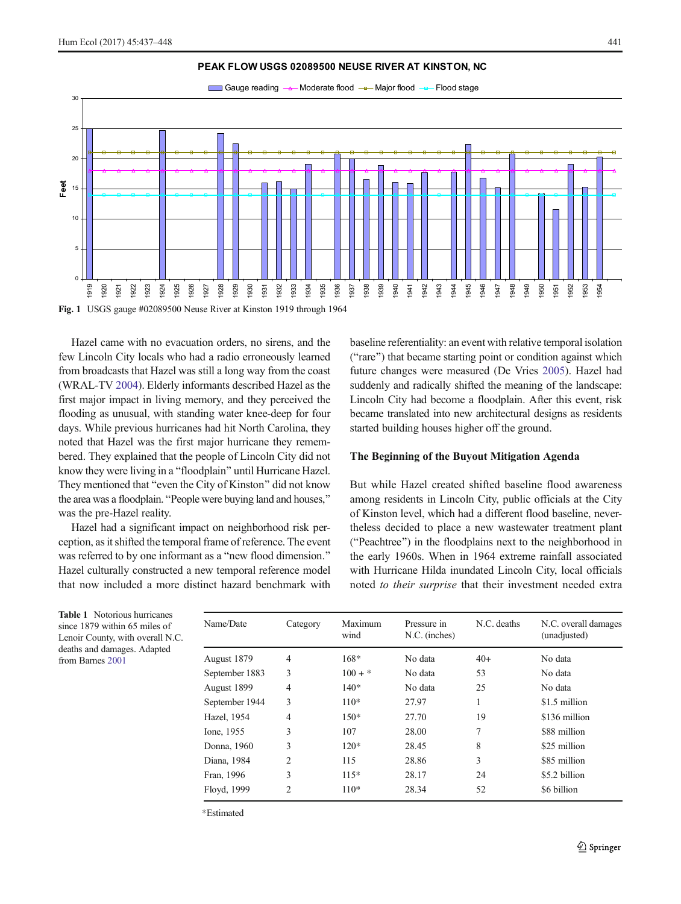<span id="page-5-0"></span>

#### **PEAK FLOW USGS 02089500 NEUSE RIVER AT KINSTON, NC**

Fig. 1 USGS gauge #02089500 Neuse River at Kinston 1919 through 1964

Hazel came with no evacuation orders, no sirens, and the few Lincoln City locals who had a radio erroneously learned from broadcasts that Hazel was still a long way from the coast (WRAL-TV [2004\)](#page-12-0). Elderly informants described Hazel as the first major impact in living memory, and they perceived the flooding as unusual, with standing water knee-deep for four days. While previous hurricanes had hit North Carolina, they noted that Hazel was the first major hurricane they remembered. They explained that the people of Lincoln City did not know they were living in a "floodplain" until Hurricane Hazel. They mentioned that "even the City of Kinston" did not know the area was a floodplain. "People were buying land and houses," was the pre-Hazel reality.

Hazel had a significant impact on neighborhood risk perception, as it shifted the temporal frame of reference. The event was referred to by one informant as a "new flood dimension." Hazel culturally constructed a new temporal reference model that now included a more distinct hazard benchmark with baseline referentiality: an event with relative temporal isolation ("rare") that became starting point or condition against which future changes were measured (De Vries [2005](#page-11-0)). Hazel had suddenly and radically shifted the meaning of the landscape: Lincoln City had become a floodplain. After this event, risk became translated into new architectural designs as residents started building houses higher off the ground.

#### The Beginning of the Buyout Mitigation Agenda

But while Hazel created shifted baseline flood awareness among residents in Lincoln City, public officials at the City of Kinston level, which had a different flood baseline, nevertheless decided to place a new wastewater treatment plant ("Peachtree") in the floodplains next to the neighborhood in the early 1960s. When in 1964 extreme rainfall associated with Hurricane Hilda inundated Lincoln City, local officials noted to their surprise that their investment needed extra

Table 1 Notorious hurricanes since 1879 within 65 miles of Lenoir County, with overall N.C. deaths and damages. Adapted from Barnes [2001](#page-11-0)

| Name/Date      | Category       | Maximum<br>wind | Pressure in<br>N.C. (inches) | N.C. deaths | N.C. overall damages<br>(unadjusted) |
|----------------|----------------|-----------------|------------------------------|-------------|--------------------------------------|
| August 1879    | $\overline{4}$ | $168*$          | No data                      | $40+$       | No data                              |
| September 1883 | 3              | $100 +$ *       | No data                      | 53          | No data                              |
| August 1899    | $\overline{4}$ | $140*$          | No data                      | 25          | No data                              |
| September 1944 | 3              | $110*$          | 27.97                        |             | \$1.5 million                        |
| Hazel, 1954    | $\overline{4}$ | $150*$          | 27.70                        | 19          | \$136 million                        |
| Ione, 1955     | 3              | 107             | 28.00                        | 7           | \$88 million                         |
| Donna, 1960    | 3              | $120*$          | 28.45                        | 8           | \$25 million                         |
| Diana, 1984    | 2              | 115             | 28.86                        | 3           | \$85 million                         |
| Fran, 1996     | 3              | $115*$          | 28.17                        | 24          | \$5.2 billion                        |
| Floyd, 1999    | $\overline{c}$ | $110*$          | 28.34                        | 52          | \$6 billion                          |

\*Estimated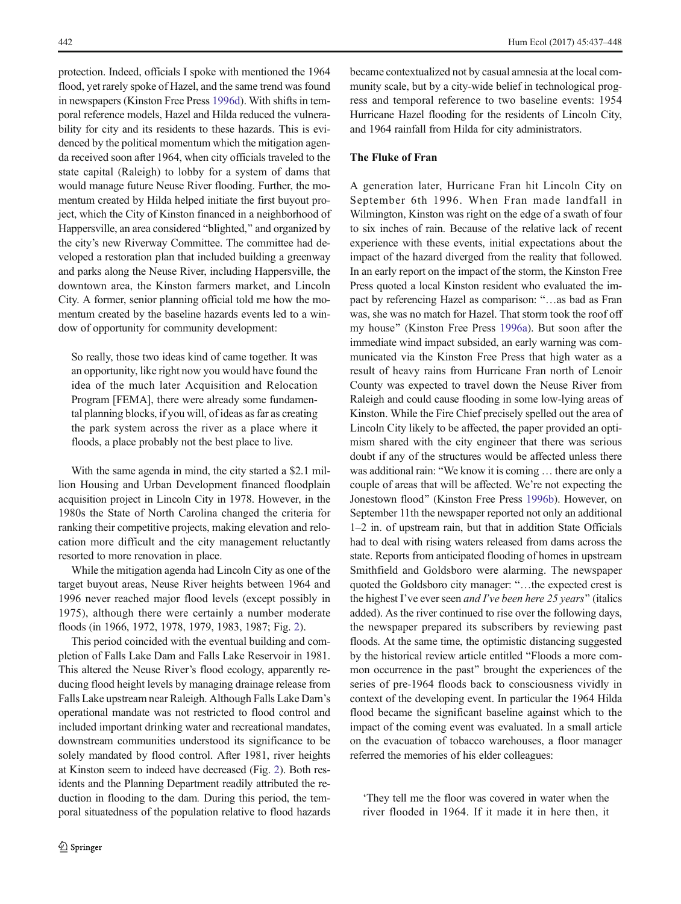protection. Indeed, officials I spoke with mentioned the 1964 flood, yet rarely spoke of Hazel, and the same trend was found in newspapers (Kinston Free Press [1996d](#page-11-0)). With shifts in temporal reference models, Hazel and Hilda reduced the vulnerability for city and its residents to these hazards. This is evidenced by the political momentum which the mitigation agenda received soon after 1964, when city officials traveled to the state capital (Raleigh) to lobby for a system of dams that would manage future Neuse River flooding. Further, the momentum created by Hilda helped initiate the first buyout project, which the City of Kinston financed in a neighborhood of Happersville, an area considered "blighted," and organized by the city's new Riverway Committee. The committee had developed a restoration plan that included building a greenway and parks along the Neuse River, including Happersville, the downtown area, the Kinston farmers market, and Lincoln City. A former, senior planning official told me how the momentum created by the baseline hazards events led to a window of opportunity for community development:

So really, those two ideas kind of came together. It was an opportunity, like right now you would have found the idea of the much later Acquisition and Relocation Program [FEMA], there were already some fundamental planning blocks, if you will, of ideas as far as creating the park system across the river as a place where it floods, a place probably not the best place to live.

With the same agenda in mind, the city started a \$2.1 million Housing and Urban Development financed floodplain acquisition project in Lincoln City in 1978. However, in the 1980s the State of North Carolina changed the criteria for ranking their competitive projects, making elevation and relocation more difficult and the city management reluctantly resorted to more renovation in place.

While the mitigation agenda had Lincoln City as one of the target buyout areas, Neuse River heights between 1964 and 1996 never reached major flood levels (except possibly in 1975), although there were certainly a number moderate floods (in 1966, 1972, 1978, 1979, 1983, 1987; Fig. [2](#page-7-0)).

This period coincided with the eventual building and completion of Falls Lake Dam and Falls Lake Reservoir in 1981. This altered the Neuse River's flood ecology, apparently reducing flood height levels by managing drainage release from Falls Lake upstream near Raleigh. Although Falls Lake Dam's operational mandate was not restricted to flood control and included important drinking water and recreational mandates, downstream communities understood its significance to be solely mandated by flood control. After 1981, river heights at Kinston seem to indeed have decreased (Fig. [2\)](#page-7-0). Both residents and the Planning Department readily attributed the reduction in flooding to the dam. During this period, the temporal situatedness of the population relative to flood hazards

became contextualized not by casual amnesia at the local community scale, but by a city-wide belief in technological progress and temporal reference to two baseline events: 1954 Hurricane Hazel flooding for the residents of Lincoln City, and 1964 rainfall from Hilda for city administrators.

## The Fluke of Fran

A generation later, Hurricane Fran hit Lincoln City on September 6th 1996. When Fran made landfall in Wilmington, Kinston was right on the edge of a swath of four to six inches of rain. Because of the relative lack of recent experience with these events, initial expectations about the impact of the hazard diverged from the reality that followed. In an early report on the impact of the storm, the Kinston Free Press quoted a local Kinston resident who evaluated the impact by referencing Hazel as comparison: "...as bad as Fran was, she was no match for Hazel. That storm took the roof off my house" (Kinston Free Press [1996a](#page-11-0)). But soon after the immediate wind impact subsided, an early warning was communicated via the Kinston Free Press that high water as a result of heavy rains from Hurricane Fran north of Lenoir County was expected to travel down the Neuse River from Raleigh and could cause flooding in some low-lying areas of Kinston. While the Fire Chief precisely spelled out the area of Lincoln City likely to be affected, the paper provided an optimism shared with the city engineer that there was serious doubt if any of the structures would be affected unless there was additional rain: "We know it is coming ... there are only a couple of areas that will be affected. We're not expecting the Jonestown flood^ (Kinston Free Press [1996b\)](#page-11-0). However, on September 11th the newspaper reported not only an additional 1–2 in. of upstream rain, but that in addition State Officials had to deal with rising waters released from dams across the state. Reports from anticipated flooding of homes in upstream Smithfield and Goldsboro were alarming. The newspaper quoted the Goldsboro city manager: "...the expected crest is the highest I've ever seen and I've been here  $25$  years" (italics added). As the river continued to rise over the following days, the newspaper prepared its subscribers by reviewing past floods. At the same time, the optimistic distancing suggested by the historical review article entitled "Floods a more common occurrence in the past" brought the experiences of the series of pre-1964 floods back to consciousness vividly in context of the developing event. In particular the 1964 Hilda flood became the significant baseline against which to the impact of the coming event was evaluated. In a small article on the evacuation of tobacco warehouses, a floor manager referred the memories of his elder colleagues:

'They tell me the floor was covered in water when the river flooded in 1964. If it made it in here then, it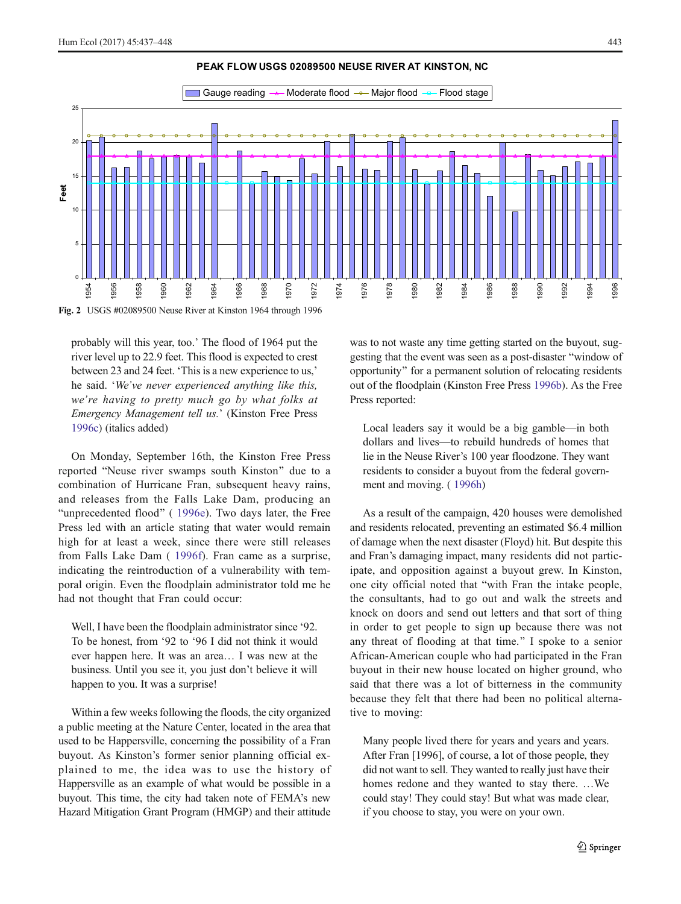<span id="page-7-0"></span>

#### **PEAK FLOW USGS 02089500 NEUSE RIVER AT KINSTON, NC**

Fig. 2 USGS #02089500 Neuse River at Kinston 1964 through 1996

probably will this year, too.' The flood of 1964 put the river level up to 22.9 feet. This flood is expected to crest between 23 and 24 feet. 'This is a new experience to us,' he said. 'We've never experienced anything like this, we're having to pretty much go by what folks at Emergency Management tell us.' (Kinston Free Press [1996c](#page-11-0)) (italics added)

On Monday, September 16th, the Kinston Free Press reported "Neuse river swamps south Kinston" due to a combination of Hurricane Fran, subsequent heavy rains, and releases from the Falls Lake Dam, producing an "unprecedented flood" ( [1996e\)](#page-11-0). Two days later, the Free Press led with an article stating that water would remain high for at least a week, since there were still releases from Falls Lake Dam ( [1996f\)](#page-11-0). Fran came as a surprise, indicating the reintroduction of a vulnerability with temporal origin. Even the floodplain administrator told me he had not thought that Fran could occur:

Well, I have been the floodplain administrator since '92. To be honest, from '92 to '96 I did not think it would ever happen here. It was an area… I was new at the business. Until you see it, you just don't believe it will happen to you. It was a surprise!

Within a few weeks following the floods, the city organized a public meeting at the Nature Center, located in the area that used to be Happersville, concerning the possibility of a Fran buyout. As Kinston's former senior planning official explained to me, the idea was to use the history of Happersville as an example of what would be possible in a buyout. This time, the city had taken note of FEMA's new Hazard Mitigation Grant Program (HMGP) and their attitude

was to not waste any time getting started on the buyout, suggesting that the event was seen as a post-disaster "window of opportunity^ for a permanent solution of relocating residents out of the floodplain (Kinston Free Press [1996b](#page-11-0)). As the Free Press reported:

Local leaders say it would be a big gamble—in both dollars and lives—to rebuild hundreds of homes that lie in the Neuse River's 100 year floodzone. They want residents to consider a buyout from the federal government and moving. ( [1996h](#page-11-0))

As a result of the campaign, 420 houses were demolished and residents relocated, preventing an estimated \$6.4 million of damage when the next disaster (Floyd) hit. But despite this and Fran's damaging impact, many residents did not participate, and opposition against a buyout grew. In Kinston, one city official noted that "with Fran the intake people, the consultants, had to go out and walk the streets and knock on doors and send out letters and that sort of thing in order to get people to sign up because there was not any threat of flooding at that time." I spoke to a senior African-American couple who had participated in the Fran buyout in their new house located on higher ground, who said that there was a lot of bitterness in the community because they felt that there had been no political alternative to moving:

Many people lived there for years and years and years. After Fran [1996], of course, a lot of those people, they did not want to sell. They wanted to really just have their homes redone and they wanted to stay there. …We could stay! They could stay! But what was made clear, if you choose to stay, you were on your own.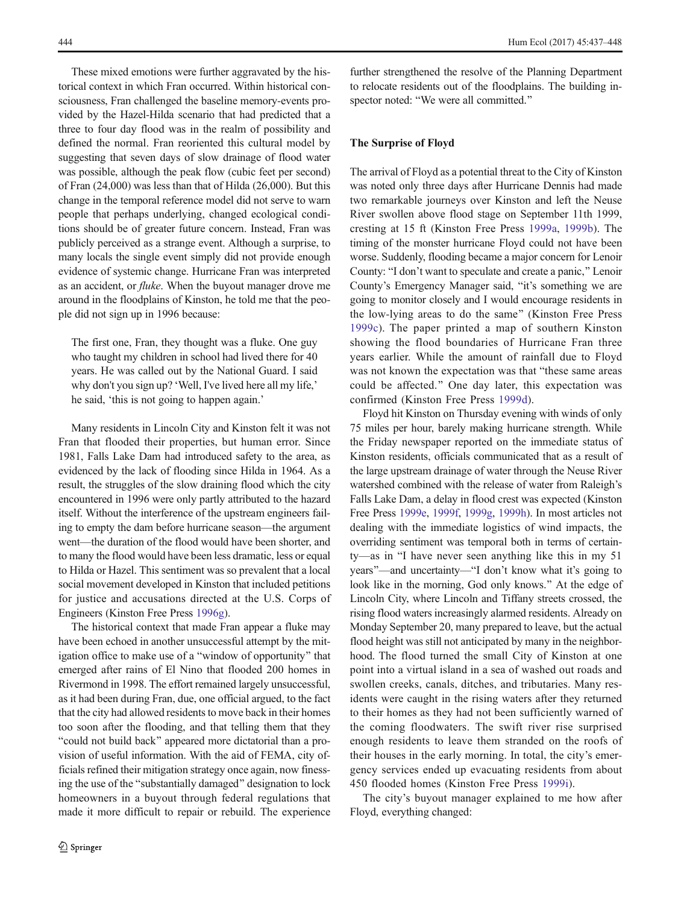These mixed emotions were further aggravated by the historical context in which Fran occurred. Within historical consciousness, Fran challenged the baseline memory-events provided by the Hazel-Hilda scenario that had predicted that a three to four day flood was in the realm of possibility and defined the normal. Fran reoriented this cultural model by suggesting that seven days of slow drainage of flood water was possible, although the peak flow (cubic feet per second) of Fran (24,000) was less than that of Hilda (26,000). But this change in the temporal reference model did not serve to warn people that perhaps underlying, changed ecological conditions should be of greater future concern. Instead, Fran was publicly perceived as a strange event. Although a surprise, to many locals the single event simply did not provide enough evidence of systemic change. Hurricane Fran was interpreted as an accident, or fluke. When the buyout manager drove me around in the floodplains of Kinston, he told me that the people did not sign up in 1996 because:

The first one, Fran, they thought was a fluke. One guy who taught my children in school had lived there for 40 years. He was called out by the National Guard. I said why don't you sign up? 'Well, I've lived here all my life,' he said, 'this is not going to happen again.'

Many residents in Lincoln City and Kinston felt it was not Fran that flooded their properties, but human error. Since 1981, Falls Lake Dam had introduced safety to the area, as evidenced by the lack of flooding since Hilda in 1964. As a result, the struggles of the slow draining flood which the city encountered in 1996 were only partly attributed to the hazard itself. Without the interference of the upstream engineers failing to empty the dam before hurricane season—the argument went—the duration of the flood would have been shorter, and to many the flood would have been less dramatic, less or equal to Hilda or Hazel. This sentiment was so prevalent that a local social movement developed in Kinston that included petitions for justice and accusations directed at the U.S. Corps of Engineers (Kinston Free Press [1996g](#page-11-0)).

The historical context that made Fran appear a fluke may have been echoed in another unsuccessful attempt by the mitigation office to make use of a "window of opportunity" that emerged after rains of El Nino that flooded 200 homes in Rivermond in 1998. The effort remained largely unsuccessful, as it had been during Fran, due, one official argued, to the fact that the city had allowed residents to move back in their homes too soon after the flooding, and that telling them that they "could not build back" appeared more dictatorial than a provision of useful information. With the aid of FEMA, city officials refined their mitigation strategy once again, now finessing the use of the "substantially damaged" designation to lock homeowners in a buyout through federal regulations that made it more difficult to repair or rebuild. The experience

further strengthened the resolve of the Planning Department to relocate residents out of the floodplains. The building inspector noted: "We were all committed."

#### The Surprise of Floyd

The arrival of Floyd as a potential threat to the City of Kinston was noted only three days after Hurricane Dennis had made two remarkable journeys over Kinston and left the Neuse River swollen above flood stage on September 11th 1999, cresting at 15 ft (Kinston Free Press [1999a](#page-11-0), [1999b](#page-11-0)). The timing of the monster hurricane Floyd could not have been worse. Suddenly, flooding became a major concern for Lenoir County: "I don't want to speculate and create a panic," Lenoir County's Emergency Manager said, "it's something we are going to monitor closely and I would encourage residents in the low-lying areas to do the same^ (Kinston Free Press [1999c](#page-11-0)). The paper printed a map of southern Kinston showing the flood boundaries of Hurricane Fran three years earlier. While the amount of rainfall due to Floyd was not known the expectation was that "these same areas" could be affected." One day later, this expectation was confirmed (Kinston Free Press [1999d\)](#page-12-0).

Floyd hit Kinston on Thursday evening with winds of only 75 miles per hour, barely making hurricane strength. While the Friday newspaper reported on the immediate status of Kinston residents, officials communicated that as a result of the large upstream drainage of water through the Neuse River watershed combined with the release of water from Raleigh's Falls Lake Dam, a delay in flood crest was expected (Kinston Free Press [1999e](#page-12-0), [1999f](#page-12-0), [1999g,](#page-12-0) [1999h](#page-12-0)). In most articles not dealing with the immediate logistics of wind impacts, the overriding sentiment was temporal both in terms of certainty—as in "I have never seen anything like this in my 51 years"—and uncertainty—"I don't know what it's going to look like in the morning, God only knows.^ At the edge of Lincoln City, where Lincoln and Tiffany streets crossed, the rising flood waters increasingly alarmed residents. Already on Monday September 20, many prepared to leave, but the actual flood height was still not anticipated by many in the neighborhood. The flood turned the small City of Kinston at one point into a virtual island in a sea of washed out roads and swollen creeks, canals, ditches, and tributaries. Many residents were caught in the rising waters after they returned to their homes as they had not been sufficiently warned of the coming floodwaters. The swift river rise surprised enough residents to leave them stranded on the roofs of their houses in the early morning. In total, the city's emergency services ended up evacuating residents from about 450 flooded homes (Kinston Free Press [1999i](#page-12-0)).

The city's buyout manager explained to me how after Floyd, everything changed: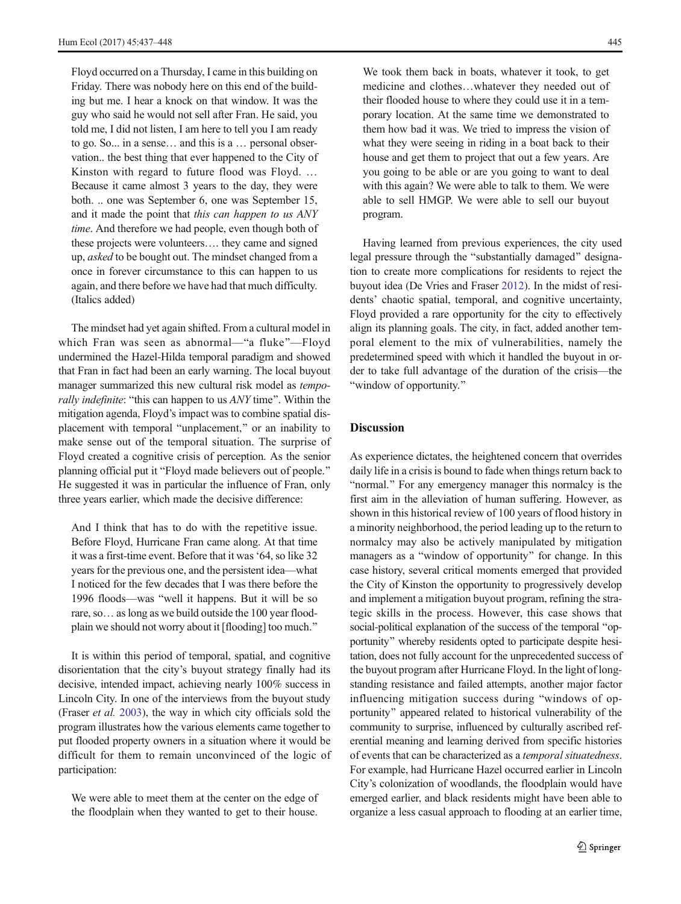Floyd occurred on a Thursday, I came in this building on Friday. There was nobody here on this end of the building but me. I hear a knock on that window. It was the guy who said he would not sell after Fran. He said, you told me, I did not listen, I am here to tell you I am ready to go. So... in a sense… and this is a … personal observation.. the best thing that ever happened to the City of Kinston with regard to future flood was Floyd. … Because it came almost 3 years to the day, they were both. .. one was September 6, one was September 15, and it made the point that this can happen to us ANY time. And therefore we had people, even though both of these projects were volunteers…. they came and signed up, asked to be bought out. The mindset changed from a once in forever circumstance to this can happen to us again, and there before we have had that much difficulty. (Italics added)

The mindset had yet again shifted. From a cultural model in which Fran was seen as abnormal—"a fluke"—Floyd undermined the Hazel-Hilda temporal paradigm and showed that Fran in fact had been an early warning. The local buyout manager summarized this new cultural risk model as tempo*rally indefinite*: "this can happen to us  $ANY$  time". Within the mitigation agenda, Floyd's impact was to combine spatial displacement with temporal "unplacement," or an inability to make sense out of the temporal situation. The surprise of Floyd created a cognitive crisis of perception. As the senior planning official put it "Floyd made believers out of people." He suggested it was in particular the influence of Fran, only three years earlier, which made the decisive difference:

And I think that has to do with the repetitive issue. Before Floyd, Hurricane Fran came along. At that time it was a first-time event. Before that it was'64, so like 32 years for the previous one, and the persistent idea—what I noticed for the few decades that I was there before the 1996 floods—was "well it happens. But it will be so rare, so… as long as we build outside the 100 year floodplain we should not worry about it [flooding] too much."

It is within this period of temporal, spatial, and cognitive disorientation that the city's buyout strategy finally had its decisive, intended impact, achieving nearly 100% success in Lincoln City. In one of the interviews from the buyout study (Fraser et al. [2003](#page-11-0)), the way in which city officials sold the program illustrates how the various elements came together to put flooded property owners in a situation where it would be difficult for them to remain unconvinced of the logic of participation:

We were able to meet them at the center on the edge of the floodplain when they wanted to get to their house.

We took them back in boats, whatever it took, to get medicine and clothes…whatever they needed out of their flooded house to where they could use it in a temporary location. At the same time we demonstrated to them how bad it was. We tried to impress the vision of what they were seeing in riding in a boat back to their house and get them to project that out a few years. Are you going to be able or are you going to want to deal with this again? We were able to talk to them. We were able to sell HMGP. We were able to sell our buyout program.

Having learned from previous experiences, the city used legal pressure through the "substantially damaged" designation to create more complications for residents to reject the buyout idea (De Vries and Fraser [2012](#page-11-0)). In the midst of residents' chaotic spatial, temporal, and cognitive uncertainty, Floyd provided a rare opportunity for the city to effectively align its planning goals. The city, in fact, added another temporal element to the mix of vulnerabilities, namely the predetermined speed with which it handled the buyout in order to take full advantage of the duration of the crisis—the "window of opportunity."

#### Discussion

As experience dictates, the heightened concern that overrides daily life in a crisis is bound to fade when things return back to "normal." For any emergency manager this normalcy is the first aim in the alleviation of human suffering. However, as shown in this historical review of 100 years of flood history in a minority neighborhood, the period leading up to the return to normalcy may also be actively manipulated by mitigation managers as a "window of opportunity" for change. In this case history, several critical moments emerged that provided the City of Kinston the opportunity to progressively develop and implement a mitigation buyout program, refining the strategic skills in the process. However, this case shows that social-political explanation of the success of the temporal "opportunity" whereby residents opted to participate despite hesitation, does not fully account for the unprecedented success of the buyout program after Hurricane Floyd. In the light of longstanding resistance and failed attempts, another major factor influencing mitigation success during "windows of opportunity" appeared related to historical vulnerability of the community to surprise, influenced by culturally ascribed referential meaning and learning derived from specific histories of events that can be characterized as a temporal situatedness. For example, had Hurricane Hazel occurred earlier in Lincoln City's colonization of woodlands, the floodplain would have emerged earlier, and black residents might have been able to organize a less casual approach to flooding at an earlier time,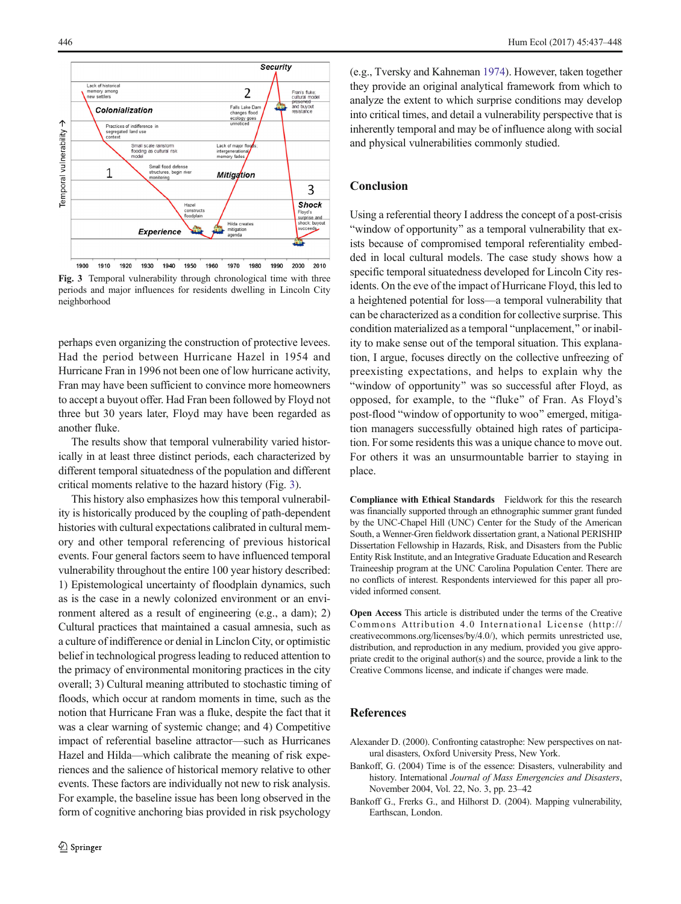<span id="page-10-0"></span>

Fig. 3 Temporal vulnerability through chronological time with three periods and major influences for residents dwelling in Lincoln City neighborhood

perhaps even organizing the construction of protective levees. Had the period between Hurricane Hazel in 1954 and Hurricane Fran in 1996 not been one of low hurricane activity, Fran may have been sufficient to convince more homeowners to accept a buyout offer. Had Fran been followed by Floyd not three but 30 years later, Floyd may have been regarded as another fluke.

The results show that temporal vulnerability varied historically in at least three distinct periods, each characterized by different temporal situatedness of the population and different critical moments relative to the hazard history (Fig. 3).

This history also emphasizes how this temporal vulnerability is historically produced by the coupling of path-dependent histories with cultural expectations calibrated in cultural memory and other temporal referencing of previous historical events. Four general factors seem to have influenced temporal vulnerability throughout the entire 100 year history described: 1) Epistemological uncertainty of floodplain dynamics, such as is the case in a newly colonized environment or an environment altered as a result of engineering (e.g., a dam); 2) Cultural practices that maintained a casual amnesia, such as a culture of indifference or denial in Linclon City, or optimistic belief in technological progress leading to reduced attention to the primacy of environmental monitoring practices in the city overall; 3) Cultural meaning attributed to stochastic timing of floods, which occur at random moments in time, such as the notion that Hurricane Fran was a fluke, despite the fact that it was a clear warning of systemic change; and 4) Competitive impact of referential baseline attractor—such as Hurricanes Hazel and Hilda—which calibrate the meaning of risk experiences and the salience of historical memory relative to other events. These factors are individually not new to risk analysis. For example, the baseline issue has been long observed in the form of cognitive anchoring bias provided in risk psychology

(e.g., Tversky and Kahneman [1974\)](#page-12-0). However, taken together they provide an original analytical framework from which to analyze the extent to which surprise conditions may develop into critical times, and detail a vulnerability perspective that is inherently temporal and may be of influence along with social and physical vulnerabilities commonly studied.

## Conclusion

Using a referential theory I address the concept of a post-crisis "window of opportunity" as a temporal vulnerability that exists because of compromised temporal referentiality embedded in local cultural models. The case study shows how a specific temporal situatedness developed for Lincoln City residents. On the eve of the impact of Hurricane Floyd, this led to a heightened potential for loss—a temporal vulnerability that can be characterized as a condition for collective surprise. This condition materialized as a temporal "unplacement," or inability to make sense out of the temporal situation. This explanation, I argue, focuses directly on the collective unfreezing of preexisting expectations, and helps to explain why the "window of opportunity" was so successful after Floyd, as opposed, for example, to the "fluke" of Fran. As Floyd's post-flood "window of opportunity to woo" emerged, mitigation managers successfully obtained high rates of participation. For some residents this was a unique chance to move out. For others it was an unsurmountable barrier to staying in place.

Compliance with Ethical Standards Fieldwork for this the research was financially supported through an ethnographic summer grant funded by the UNC-Chapel Hill (UNC) Center for the Study of the American South, a Wenner-Gren fieldwork dissertation grant, a National PERISHIP Dissertation Fellowship in Hazards, Risk, and Disasters from the Public Entity Risk Institute, and an Integrative Graduate Education and Research Traineeship program at the UNC Carolina Population Center. There are no conflicts of interest. Respondents interviewed for this paper all provided informed consent.

Open Access This article is distributed under the terms of the Creative Commons Attribution 4.0 International License (http:// creativecommons.org/licenses/by/4.0/), which permits unrestricted use, distribution, and reproduction in any medium, provided you give appropriate credit to the original author(s) and the source, provide a link to the Creative Commons license, and indicate if changes were made.

## References

- Alexander D. (2000). Confronting catastrophe: New perspectives on natural disasters, Oxford University Press, New York.
- Bankoff, G. (2004) Time is of the essence: Disasters, vulnerability and history. International Journal of Mass Emergencies and Disasters, November 2004, Vol. 22, No. 3, pp. 23–42
- Bankoff G., Frerks G., and Hilhorst D. (2004). Mapping vulnerability, Earthscan, London.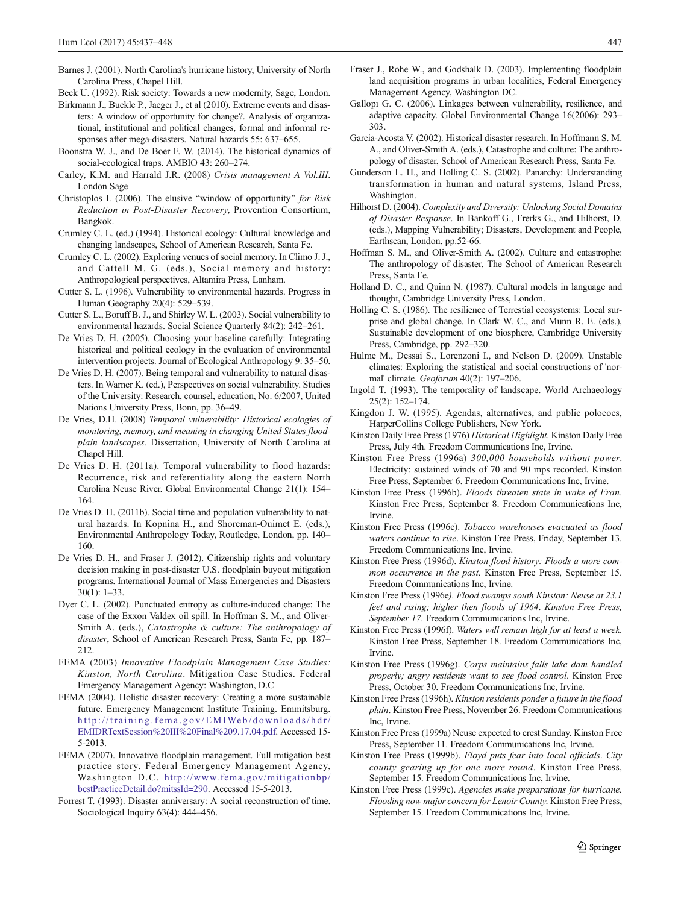- <span id="page-11-0"></span>Barnes J. (2001). North Carolina's hurricane history, University of North Carolina Press, Chapel Hill.
- Beck U. (1992). Risk society: Towards a new modernity, Sage, London.
- Birkmann J., Buckle P., Jaeger J., et al (2010). Extreme events and disasters: A window of opportunity for change?. Analysis of organizational, institutional and political changes, formal and informal responses after mega-disasters. Natural hazards 55: 637–655.
- Boonstra W. J., and De Boer F. W. (2014). The historical dynamics of social-ecological traps. AMBIO 43: 260–274.
- Carley, K.M. and Harrald J.R. (2008) Crisis management A Vol.III. London Sage
- Christoplos I. (2006). The elusive "window of opportunity" for Risk Reduction in Post-Disaster Recovery, Provention Consortium, Bangkok.
- Crumley C. L. (ed.) (1994). Historical ecology: Cultural knowledge and changing landscapes, School of American Research, Santa Fe.
- Crumley C. L. (2002). Exploring venues of social memory. In Climo J. J., and Cattell M. G. (eds.), Social memory and history: Anthropological perspectives, Altamira Press, Lanham.
- Cutter S. L. (1996). Vulnerability to environmental hazards. Progress in Human Geography 20(4): 529–539.
- Cutter S. L., Boruff B. J., and Shirley W. L. (2003). Social vulnerability to environmental hazards. Social Science Quarterly 84(2): 242–261.
- De Vries D. H. (2005). Choosing your baseline carefully: Integrating historical and political ecology in the evaluation of environmental intervention projects. Journal of Ecological Anthropology 9: 35–50.
- De Vries D. H. (2007). Being temporal and vulnerability to natural disasters. In Warner K. (ed.), Perspectives on social vulnerability. Studies of the University: Research, counsel, education, No. 6/2007, United Nations University Press, Bonn, pp. 36–49.
- De Vries, D.H. (2008) Temporal vulnerability: Historical ecologies of monitoring, memory, and meaning in changing United States floodplain landscapes. Dissertation, University of North Carolina at Chapel Hill.
- De Vries D. H. (2011a). Temporal vulnerability to flood hazards: Recurrence, risk and referentiality along the eastern North Carolina Neuse River. Global Environmental Change 21(1): 154– 164.
- De Vries D. H. (2011b). Social time and population vulnerability to natural hazards. In Kopnina H., and Shoreman-Ouimet E. (eds.), Environmental Anthropology Today, Routledge, London, pp. 140– 160.
- De Vries D. H., and Fraser J. (2012). Citizenship rights and voluntary decision making in post-disaster U.S. floodplain buyout mitigation programs. International Journal of Mass Emergencies and Disasters 30(1): 1–33.
- Dyer C. L. (2002). Punctuated entropy as culture-induced change: The case of the Exxon Valdex oil spill. In Hoffman S. M., and Oliver-Smith A. (eds.), Catastrophe & culture: The anthropology of disaster, School of American Research Press, Santa Fe, pp. 187– 212.
- FEMA (2003) Innovative Floodplain Management Case Studies: Kinston, North Carolina. Mitigation Case Studies. Federal Emergency Management Agency: Washington, D.C
- FEMA (2004). Holistic disaster recovery: Creating a more sustainable future. Emergency Management Institute Training. Emmitsburg. [http://training.fema.gov/EMIWeb/downloads/hdr/](http://training.fema.gov/EMIWeb/downloads/hdr/EMIDRTextSession%20III%20Final%209.17.04.pdf) [EMIDRTextSession%20III%20Final%209.17.04.pdf](http://training.fema.gov/EMIWeb/downloads/hdr/EMIDRTextSession%20III%20Final%209.17.04.pdf). Accessed 15- 5-2013.
- FEMA (2007). Innovative floodplain management. Full mitigation best practice story. Federal Emergency Management Agency, Washington D.C. [http://www.fema.gov/mitigationbp/](http://www.fema.gov/mitigationbp/bestPracticeDetail.do?mitssId=290) [bestPracticeDetail.do?mitssId=290.](http://www.fema.gov/mitigationbp/bestPracticeDetail.do?mitssId=290) Accessed 15-5-2013.
- Forrest T. (1993). Disaster anniversary: A social reconstruction of time. Sociological Inquiry 63(4): 444–456.
- Fraser J., Rohe W., and Godshalk D. (2003). Implementing floodplain land acquisition programs in urban localities, Federal Emergency Management Agency, Washington DC.
- Gallopı G. C. (2006). Linkages between vulnerability, resilience, and adaptive capacity. Global Environmental Change 16(2006): 293– 303.
- Garcia-Acosta V. (2002). Historical disaster research. In Hoffmann S. M. A., and Oliver-Smith A. (eds.), Catastrophe and culture: The anthropology of disaster, School of American Research Press, Santa Fe.
- Gunderson L. H., and Holling C. S. (2002). Panarchy: Understanding transformation in human and natural systems, Island Press, Washington.
- Hilhorst D. (2004). Complexity and Diversity: Unlocking Social Domains of Disaster Response. In Bankoff G., Frerks G., and Hilhorst, D. (eds.), Mapping Vulnerability; Disasters, Development and People, Earthscan, London, pp.52-66.
- Hoffman S. M., and Oliver-Smith A. (2002). Culture and catastrophe: The anthropology of disaster, The School of American Research Press, Santa Fe.
- Holland D. C., and Quinn N. (1987). Cultural models in language and thought, Cambridge University Press, London.
- Holling C. S. (1986). The resilience of Terrestial ecosystems: Local surprise and global change. In Clark W. C., and Munn R. E. (eds.), Sustainable development of one biosphere, Cambridge University Press, Cambridge, pp. 292–320.
- Hulme M., Dessai S., Lorenzoni I., and Nelson D. (2009). Unstable climates: Exploring the statistical and social constructions of 'normal' climate. Geoforum 40(2): 197–206.
- Ingold T. (1993). The temporality of landscape. World Archaeology 25(2): 152–174.
- Kingdon J. W. (1995). Agendas, alternatives, and public polocoes, HarperCollins College Publishers, New York.
- Kinston Daily Free Press (1976) Historical Highlight. Kinston Daily Free Press, July 4th. Freedom Communications Inc, Irvine.
- Kinston Free Press (1996a) 300,000 households without power. Electricity: sustained winds of 70 and 90 mps recorded. Kinston Free Press, September 6. Freedom Communications Inc, Irvine.
- Kinston Free Press (1996b). Floods threaten state in wake of Fran. Kinston Free Press, September 8. Freedom Communications Inc, Irvine.
- Kinston Free Press (1996c). Tobacco warehouses evacuated as flood waters continue to rise. Kinston Free Press, Friday, September 13. Freedom Communications Inc, Irvine.
- Kinston Free Press (1996d). Kinston flood history: Floods a more common occurrence in the past. Kinston Free Press, September 15. Freedom Communications Inc, Irvine.
- Kinston Free Press (1996e). Flood swamps south Kinston: Neuse at 23.1 feet and rising; higher then floods of 1964. Kinston Free Press, September 17. Freedom Communications Inc, Irvine.
- Kinston Free Press (1996f). Waters will remain high for at least a week. Kinston Free Press, September 18. Freedom Communications Inc, Irvine.
- Kinston Free Press (1996g). Corps maintains falls lake dam handled properly; angry residents want to see flood control. Kinston Free Press, October 30. Freedom Communications Inc, Irvine.
- Kinston Free Press (1996h). Kinston residents ponder a future in the flood plain. Kinston Free Press, November 26. Freedom Communications Inc, Irvine.
- Kinston Free Press (1999a) Neuse expected to crest Sunday. Kinston Free Press, September 11. Freedom Communications Inc, Irvine.
- Kinston Free Press (1999b). Floyd puts fear into local officials. City county gearing up for one more round. Kinston Free Press, September 15. Freedom Communications Inc, Irvine.
- Kinston Free Press (1999c). Agencies make preparations for hurricane. Flooding now major concern for Lenoir County. Kinston Free Press, September 15. Freedom Communications Inc, Irvine.